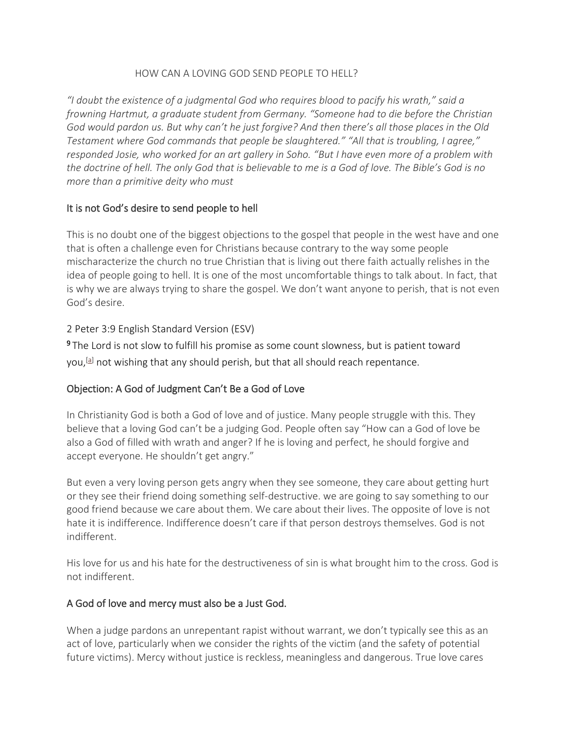#### HOW CAN A LOVING GOD SEND PEOPLE TO HELL?

*"I doubt the existence of a judgmental God who requires blood to pacify his wrath," said a frowning Hartmut, a graduate student from Germany. "Someone had to die before the Christian God would pardon us. But why can't he just forgive? And then there's all those places in the Old Testament where God commands that people be slaughtered." "All that is troubling, I agree," responded Josie, who worked for an art gallery in Soho. "But I have even more of a problem with the doctrine of hell. The only God that is believable to me is a God of love. The Bible's God is no more than a primitive deity who must*

# It is not God's desire to send people to hell

This is no doubt one of the biggest objections to the gospel that people in the west have and one that is often a challenge even for Christians because contrary to the way some people mischaracterize the church no true Christian that is living out there faith actually relishes in the idea of people going to hell. It is one of the most uncomfortable things to talk about. In fact, that is why we are always trying to share the gospel. We don't want anyone to perish, that is not even God's desire.

#### 2 Peter 3:9 English Standard Version (ESV)

<sup>9</sup>The Lord is not slow to fulfill his promise as some count slowness, but is patient toward you,<sup>[\[a\]](https://www.biblegateway.com/passage/?search=2+Peter+3%3A9&version=ESV#fen-ESV-30515a)</sup> not wishing that any should perish, but that all should reach repentance.

# Objection: A God of Judgment Can't Be a God of Love

In Christianity God is both a God of love and of justice. Many people struggle with this. They believe that a loving God can't be a judging God. People often say "How can a God of love be also a God of filled with wrath and anger? If he is loving and perfect, he should forgive and accept everyone. He shouldn't get angry."

But even a very loving person gets angry when they see someone, they care about getting hurt or they see their friend doing something self-destructive. we are going to say something to our good friend because we care about them. We care about their lives. The opposite of love is not hate it is indifference. Indifference doesn't care if that person destroys themselves. God is not indifferent.

His love for us and his hate for the destructiveness of sin is what brought him to the cross. God is not indifferent.

# A God of love and mercy must also be a Just God.

When a judge pardons an unrepentant rapist without warrant, we don't typically see this as an act of love, particularly when we consider the rights of the victim (and the safety of potential future victims). Mercy without justice is reckless, meaningless and dangerous. True love cares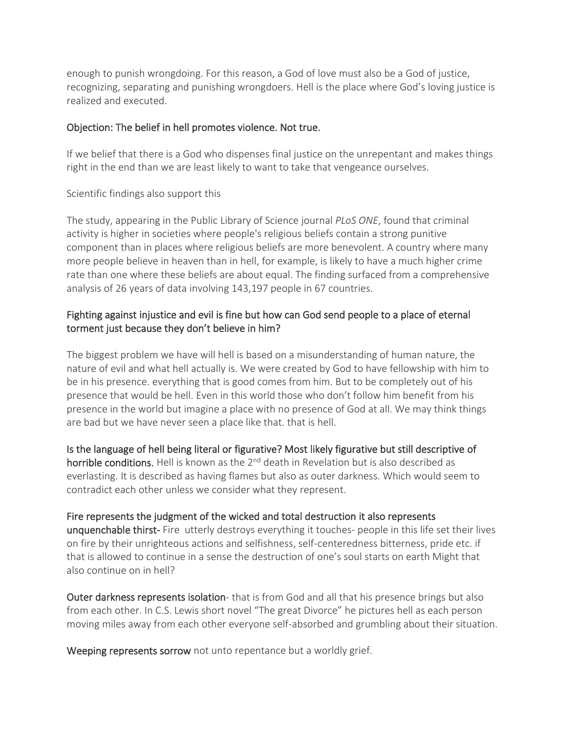enough to punish wrongdoing. For this reason, a God of love must also be a God of justice, recognizing, separating and punishing wrongdoers. Hell is the place where God's loving justice is realized and executed.

#### Objection: The belief in hell promotes violence. Not true.

If we belief that there is a God who dispenses final justice on the unrepentant and makes things right in the end than we are least likely to want to take that vengeance ourselves.

# Scientific findings also support this

The study, appearing in the Public Library of Science journal *PLoS ONE*, found that criminal activity is higher in societies where people's religious beliefs contain a strong punitive component than in places where religious beliefs are more benevolent. A country where many more people believe in heaven than in hell, for example, is likely to have a much higher crime rate than one where these beliefs are about equal. The finding surfaced from a comprehensive analysis of 26 years of data involving 143,197 people in 67 countries.

# Fighting against injustice and evil is fine but how can God send people to a place of eternal torment just because they don't believe in him?

The biggest problem we have will hell is based on a misunderstanding of human nature, the nature of evil and what hell actually is. We were created by God to have fellowship with him to be in his presence. everything that is good comes from him. But to be completely out of his presence that would be hell. Even in this world those who don't follow him benefit from his presence in the world but imagine a place with no presence of God at all. We may think things are bad but we have never seen a place like that. that is hell.

Is the language of hell being literal or figurative? Most likely figurative but still descriptive of horrible conditions. Hell is known as the 2<sup>nd</sup> death in Revelation but is also described as everlasting. It is described as having flames but also as outer darkness. Which would seem to contradict each other unless we consider what they represent.

#### Fire represents the judgment of the wicked and total destruction it also represents

unquenchable thirst- Fire utterly destroys everything it touches- people in this life set their lives on fire by their unrighteous actions and selfishness, self-centeredness bitterness, pride etc. if that is allowed to continue in a sense the destruction of one's soul starts on earth Might that also continue on in hell?

Outer darkness represents isolation- that is from God and all that his presence brings but also from each other. In C.S. Lewis short novel "The great Divorce" he pictures hell as each person moving miles away from each other everyone self-absorbed and grumbling about their situation.

Weeping represents sorrow not unto repentance but a worldly grief.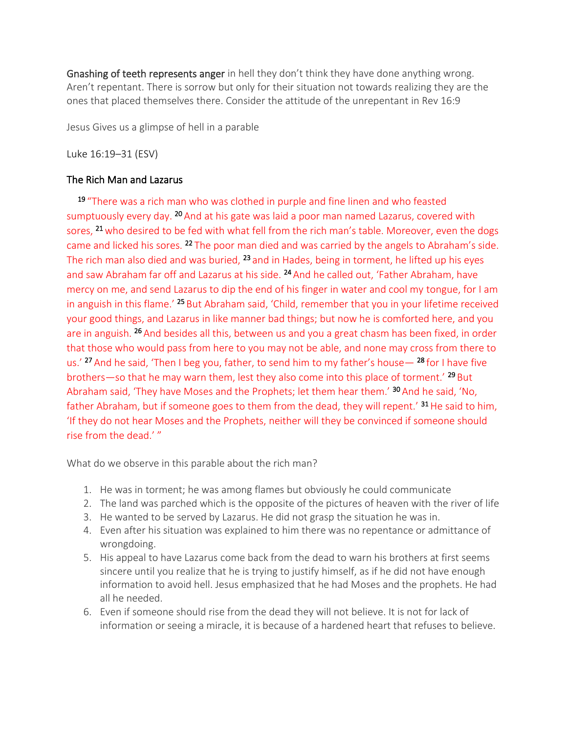Gnashing of teeth represents anger in hell they don't think they have done anything wrong. Aren't repentant. There is sorrow but only for their situation not towards realizing they are the ones that placed themselves there. Consider the attitude of the unrepentant in Rev 16:9

Jesus Gives us a glimpse of hell in a parable

Luke 16:19–31 (ESV)

# The Rich Man and Lazarus

<sup>19</sup> "There was a rich man who was clothed in purple and fine linen and who feasted sumptuously every day. <sup>20</sup> And at his gate was laid a poor man named Lazarus, covered with sores, <sup>21</sup> who desired to be fed with what fell from the rich man's table. Moreover, even the dogs came and licked his sores. <sup>22</sup> The poor man died and was carried by the angels to Abraham's side. The rich man also died and was buried, <sup>23</sup> and in Hades, being in torment, he lifted up his eyes and saw Abraham far off and Lazarus at his side. <sup>24</sup> And he called out, 'Father Abraham, have mercy on me, and send Lazarus to dip the end of his finger in water and cool my tongue, for I am in anguish in this flame.' <sup>25</sup> But Abraham said, 'Child, remember that you in your lifetime received your good things, and Lazarus in like manner bad things; but now he is comforted here, and you are in anguish. <sup>26</sup> And besides all this, between us and you a great chasm has been fixed, in order that those who would pass from here to you may not be able, and none may cross from there to us.' <sup>27</sup> And he said, 'Then I beg you, father, to send him to my father's house— <sup>28</sup> for I have five brothers—so that he may warn them, lest they also come into this place of torment.<sup>' 29</sup> But Abraham said, 'They have Moses and the Prophets; let them hear them.' <sup>30</sup> And he said, 'No, father Abraham, but if someone goes to them from the dead, they will repent.'  $31$  He said to him, 'If they do not hear Moses and the Prophets, neither will they be convinced if someone should rise from the dead.' "

What do we observe in this parable about the rich man?

- 1. He was in torment; he was among flames but obviously he could communicate
- 2. The land was parched which is the opposite of the pictures of heaven with the river of life
- 3. He wanted to be served by Lazarus. He did not grasp the situation he was in.
- 4. Even after his situation was explained to him there was no repentance or admittance of wrongdoing.
- 5. His appeal to have Lazarus come back from the dead to warn his brothers at first seems sincere until you realize that he is trying to justify himself, as if he did not have enough information to avoid hell. Jesus emphasized that he had Moses and the prophets. He had all he needed.
- 6. Even if someone should rise from the dead they will not believe. It is not for lack of information or seeing a miracle, it is because of a hardened heart that refuses to believe.